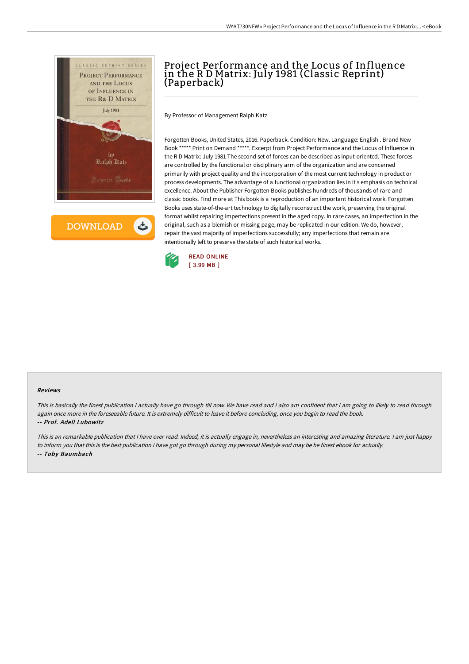

**DOWNLOAD** 

ٹ

# Project Performance and the Locus of Influence in the R D Matrix: July 1981 (Classic Reprint) (Paperback)

By Professor of Management Ralph Katz

Forgotten Books, United States, 2016. Paperback. Condition: New. Language: English . Brand New Book \*\*\*\*\* Print on Demand \*\*\*\*\*. Excerpt from Project Performance and the Locus of Influence in the R D Matrix: July 1981 The second set of forces can be described as input-oriented. These forces are controlled by the functional or disciplinary arm of the organization and are concerned primarily with project quality and the incorporation of the most current technology in product or process developments. The advantage of a functional organization lies in it s emphasis on technical excellence. About the Publisher Forgotten Books publishes hundreds of thousands of rare and classic books. Find more at This book is a reproduction of an important historical work. Forgotten Books uses state-of-the-art technology to digitally reconstruct the work, preserving the original format whilst repairing imperfections present in the aged copy. In rare cases, an imperfection in the original, such as a blemish or missing page, may be replicated in our edition. We do, however, repair the vast majority of imperfections successfully; any imperfections that remain are intentionally left to preserve the state of such historical works.



#### Reviews

This is basically the finest publication i actually have go through till now. We have read and i also am confident that i am going to likely to read through again once more in the foreseeable future. It is extremely difficult to leave it before concluding, once you begin to read the book. -- Prof. Adell Lubowitz

This is an remarkable publication that I have ever read. Indeed, it is actually engage in, nevertheless an interesting and amazing literature. I am just happy to inform you that this is the best publication i have got go through during my personal lifestyle and may be he finest ebook for actually. -- Toby Baumbach